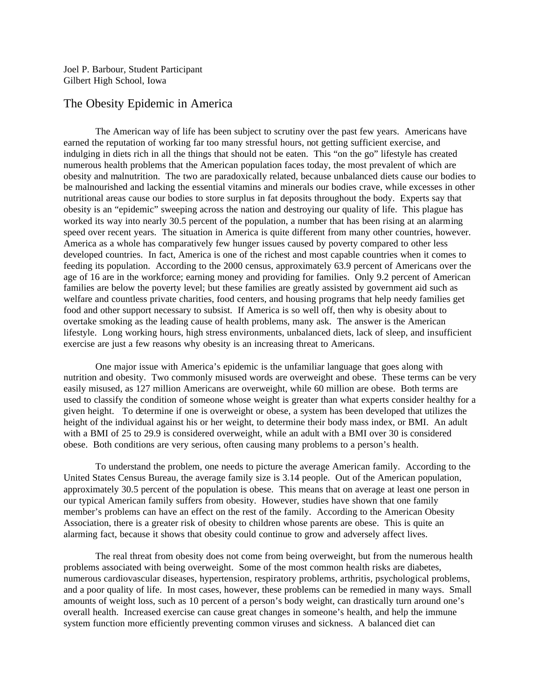Joel P. Barbour, Student Participant Gilbert High School, Iowa

## The Obesity Epidemic in America

The American way of life has been subject to scrutiny over the past few years. Americans have earned the reputation of working far too many stressful hours, not getting sufficient exercise, and indulging in diets rich in all the things that should not be eaten. This "on the go" lifestyle has created numerous health problems that the American population faces today, the most prevalent of which are obesity and malnutrition. The two are paradoxically related, because unbalanced diets cause our bodies to be malnourished and lacking the essential vitamins and minerals our bodies crave, while excesses in other nutritional areas cause our bodies to store surplus in fat deposits throughout the body. Experts say that obesity is an "epidemic" sweeping across the nation and destroying our quality of life. This plague has worked its way into nearly 30.5 percent of the population, a number that has been rising at an alarming speed over recent years. The situation in America is quite different from many other countries, however. America as a whole has comparatively few hunger issues caused by poverty compared to other less developed countries. In fact, America is one of the richest and most capable countries when it comes to feeding its population. According to the 2000 census, approximately 63.9 percent of Americans over the age of 16 are in the workforce; earning money and providing for families. Only 9.2 percent of American families are below the poverty level; but these families are greatly assisted by government aid such as welfare and countless private charities, food centers, and housing programs that help needy families get food and other support necessary to subsist. If America is so well off, then why is obesity about to overtake smoking as the leading cause of health problems, many ask. The answer is the American lifestyle. Long working hours, high stress environments, unbalanced diets, lack of sleep, and insufficient exercise are just a few reasons why obesity is an increasing threat to Americans.

One major issue with America's epidemic is the unfamiliar language that goes along with nutrition and obesity. Two commonly misused words are overweight and obese. These terms can be very easily misused, as 127 million Americans are overweight, while 60 million are obese. Both terms are used to classify the condition of someone whose weight is greater than what experts consider healthy for a given height. To determine if one is overweight or obese, a system has been developed that utilizes the height of the individual against his or her weight, to determine their body mass index, or BMI. An adult with a BMI of 25 to 29.9 is considered overweight, while an adult with a BMI over 30 is considered obese. Both conditions are very serious, often causing many problems to a person's health.

To understand the problem, one needs to picture the average American family. According to the United States Census Bureau, the average family size is 3.14 people. Out of the American population, approximately 30.5 percent of the population is obese. This means that on average at least one person in our typical American family suffers from obesity. However, studies have shown that one family member's problems can have an effect on the rest of the family. According to the American Obesity Association, there is a greater risk of obesity to children whose parents are obese. This is quite an alarming fact, because it shows that obesity could continue to grow and adversely affect lives.

The real threat from obesity does not come from being overweight, but from the numerous health problems associated with being overweight. Some of the most common health risks are diabetes, numerous cardiovascular diseases, hypertension, respiratory problems, arthritis, psychological problems, and a poor quality of life. In most cases, however, these problems can be remedied in many ways. Small amounts of weight loss, such as 10 percent of a person's body weight, can drastically turn around one's overall health. Increased exercise can cause great changes in someone's health, and help the immune system function more efficiently preventing common viruses and sickness. A balanced diet can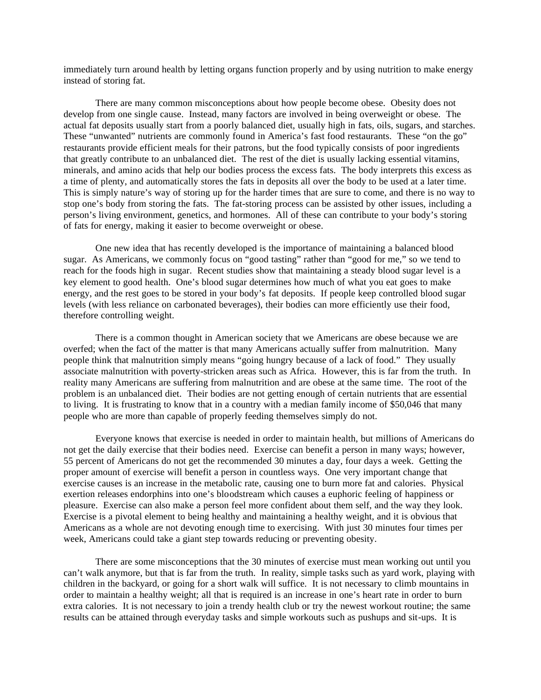immediately turn around health by letting organs function properly and by using nutrition to make energy instead of storing fat.

There are many common misconceptions about how people become obese. Obesity does not develop from one single cause. Instead, many factors are involved in being overweight or obese. The actual fat deposits usually start from a poorly balanced diet, usually high in fats, oils, sugars, and starches. These "unwanted" nutrients are commonly found in America's fast food restaurants. These "on the go" restaurants provide efficient meals for their patrons, but the food typically consists of poor ingredients that greatly contribute to an unbalanced diet. The rest of the diet is usually lacking essential vitamins, minerals, and amino acids that help our bodies process the excess fats. The body interprets this excess as a time of plenty, and automatically stores the fats in deposits all over the body to be used at a later time. This is simply nature's way of storing up for the harder times that are sure to come, and there is no way to stop one's body from storing the fats. The fat-storing process can be assisted by other issues, including a person's living environment, genetics, and hormones. All of these can contribute to your body's storing of fats for energy, making it easier to become overweight or obese.

One new idea that has recently developed is the importance of maintaining a balanced blood sugar. As Americans, we commonly focus on "good tasting" rather than "good for me," so we tend to reach for the foods high in sugar. Recent studies show that maintaining a steady blood sugar level is a key element to good health. One's blood sugar determines how much of what you eat goes to make energy, and the rest goes to be stored in your body's fat deposits. If people keep controlled blood sugar levels (with less reliance on carbonated beverages), their bodies can more efficiently use their food, therefore controlling weight.

There is a common thought in American society that we Americans are obese because we are overfed; when the fact of the matter is that many Americans actually suffer from malnutrition. Many people think that malnutrition simply means "going hungry because of a lack of food." They usually associate malnutrition with poverty-stricken areas such as Africa. However, this is far from the truth. In reality many Americans are suffering from malnutrition and are obese at the same time. The root of the problem is an unbalanced diet. Their bodies are not getting enough of certain nutrients that are essential to living. It is frustrating to know that in a country with a median family income of \$50,046 that many people who are more than capable of properly feeding themselves simply do not.

Everyone knows that exercise is needed in order to maintain health, but millions of Americans do not get the daily exercise that their bodies need. Exercise can benefit a person in many ways; however, 55 percent of Americans do not get the recommended 30 minutes a day, four days a week. Getting the proper amount of exercise will benefit a person in countless ways. One very important change that exercise causes is an increase in the metabolic rate, causing one to burn more fat and calories. Physical exertion releases endorphins into one's bloodstream which causes a euphoric feeling of happiness or pleasure. Exercise can also make a person feel more confident about them self, and the way they look. Exercise is a pivotal element to being healthy and maintaining a healthy weight, and it is obvious that Americans as a whole are not devoting enough time to exercising. With just 30 minutes four times per week, Americans could take a giant step towards reducing or preventing obesity.

There are some misconceptions that the 30 minutes of exercise must mean working out until you can't walk anymore, but that is far from the truth. In reality, simple tasks such as yard work, playing with children in the backyard, or going for a short walk will suffice. It is not necessary to climb mountains in order to maintain a healthy weight; all that is required is an increase in one's heart rate in order to burn extra calories. It is not necessary to join a trendy health club or try the newest workout routine; the same results can be attained through everyday tasks and simple workouts such as pushups and sit-ups. It is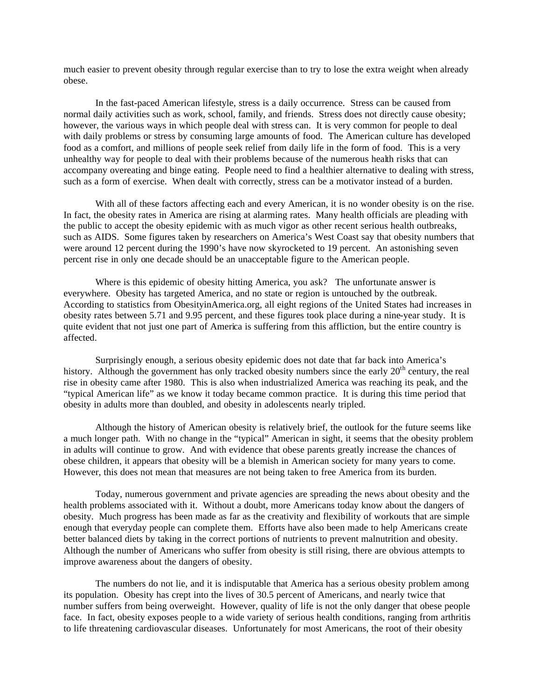much easier to prevent obesity through regular exercise than to try to lose the extra weight when already obese.

In the fast-paced American lifestyle, stress is a daily occurrence. Stress can be caused from normal daily activities such as work, school, family, and friends. Stress does not directly cause obesity; however, the various ways in which people deal with stress can. It is very common for people to deal with daily problems or stress by consuming large amounts of food. The American culture has developed food as a comfort, and millions of people seek relief from daily life in the form of food. This is a very unhealthy way for people to deal with their problems because of the numerous health risks that can accompany overeating and binge eating. People need to find a healthier alternative to dealing with stress, such as a form of exercise. When dealt with correctly, stress can be a motivator instead of a burden.

With all of these factors affecting each and every American, it is no wonder obesity is on the rise. In fact, the obesity rates in America are rising at alarming rates. Many health officials are pleading with the public to accept the obesity epidemic with as much vigor as other recent serious health outbreaks, such as AIDS. Some figures taken by researchers on America's West Coast say that obesity numbers that were around 12 percent during the 1990's have now skyrocketed to 19 percent. An astonishing seven percent rise in only one decade should be an unacceptable figure to the American people.

Where is this epidemic of obesity hitting America, you ask? The unfortunate answer is everywhere. Obesity has targeted America, and no state or region is untouched by the outbreak. According to statistics from ObesityinAmerica.org, all eight regions of the United States had increases in obesity rates between 5.71 and 9.95 percent, and these figures took place during a nine-year study. It is quite evident that not just one part of America is suffering from this affliction, but the entire country is affected.

Surprisingly enough, a serious obesity epidemic does not date that far back into America's history. Although the government has only tracked obesity numbers since the early  $20<sup>th</sup>$  century, the real rise in obesity came after 1980. This is also when industrialized America was reaching its peak, and the "typical American life" as we know it today became common practice. It is during this time period that obesity in adults more than doubled, and obesity in adolescents nearly tripled.

Although the history of American obesity is relatively brief, the outlook for the future seems like a much longer path. With no change in the "typical" American in sight, it seems that the obesity problem in adults will continue to grow. And with evidence that obese parents greatly increase the chances of obese children, it appears that obesity will be a blemish in American society for many years to come. However, this does not mean that measures are not being taken to free America from its burden.

Today, numerous government and private agencies are spreading the news about obesity and the health problems associated with it. Without a doubt, more Americans today know about the dangers of obesity. Much progress has been made as far as the creativity and flexibility of workouts that are simple enough that everyday people can complete them. Efforts have also been made to help Americans create better balanced diets by taking in the correct portions of nutrients to prevent malnutrition and obesity. Although the number of Americans who suffer from obesity is still rising, there are obvious attempts to improve awareness about the dangers of obesity.

The numbers do not lie, and it is indisputable that America has a serious obesity problem among its population. Obesity has crept into the lives of 30.5 percent of Americans, and nearly twice that number suffers from being overweight. However, quality of life is not the only danger that obese people face. In fact, obesity exposes people to a wide variety of serious health conditions, ranging from arthritis to life threatening cardiovascular diseases. Unfortunately for most Americans, the root of their obesity